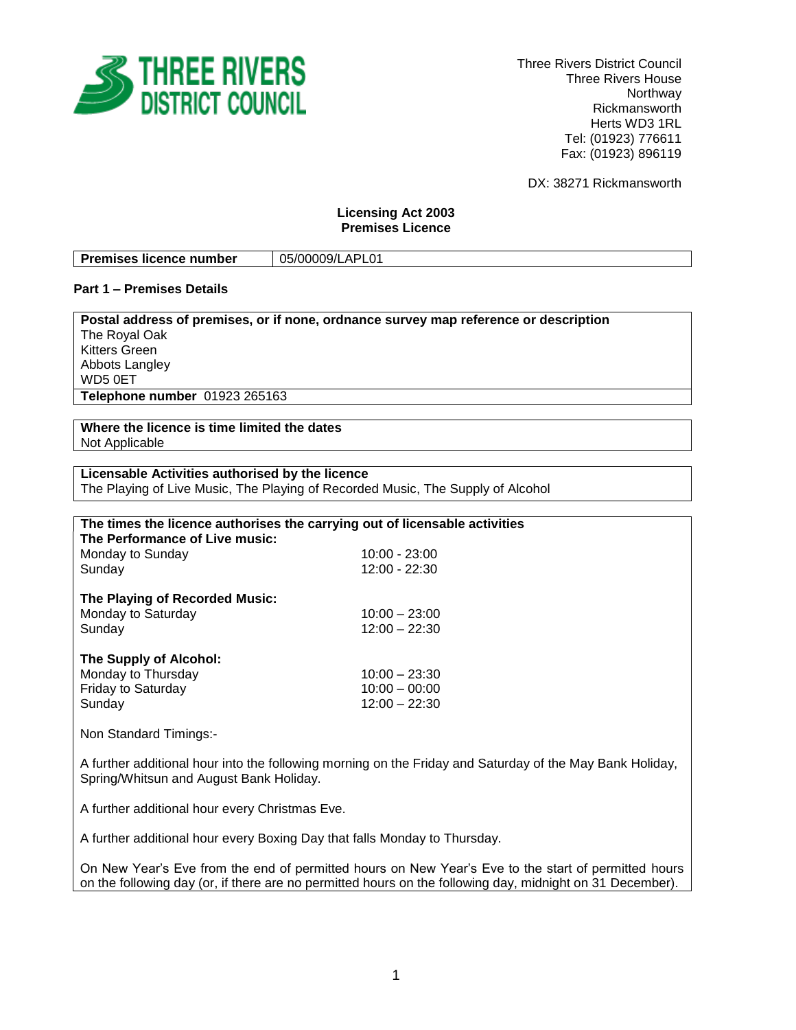

Three Rivers District Council Three Rivers House Northway Rickmansworth Herts WD3 1RL Tel: (01923) 776611 Fax: (01923) 896119

DX: 38271 Rickmansworth

### **Licensing Act 2003 Premises Licence**

| <b>Premises licence number</b> | 05/00009/LAPL01 |
|--------------------------------|-----------------|

### **Part 1 – Premises Details**

**Postal address of premises, or if none, ordnance survey map reference or description** The Royal Oak Kitters Green Abbots Langley WD5 0ET **Telephone number** 01923 265163

**Where the licence is time limited the dates** Not Applicable

| Licensable Activities authorised by the licence                                 |  |  |  |  |
|---------------------------------------------------------------------------------|--|--|--|--|
| The Playing of Live Music, The Playing of Recorded Music, The Supply of Alcohol |  |  |  |  |

| The times the licence authorises the carrying out of licensable activities |                 |  |  |
|----------------------------------------------------------------------------|-----------------|--|--|
| The Performance of Live music:                                             |                 |  |  |
| Monday to Sunday                                                           | $10:00 - 23:00$ |  |  |
| Sunday                                                                     | 12:00 - 22:30   |  |  |
| The Playing of Recorded Music:                                             |                 |  |  |
| Monday to Saturday                                                         | $10:00 - 23:00$ |  |  |
| Sunday                                                                     | $12:00 - 22:30$ |  |  |
| The Supply of Alcohol:                                                     |                 |  |  |
| Monday to Thursday                                                         | $10:00 - 23:30$ |  |  |
| <b>Friday to Saturday</b>                                                  | $10:00 - 00:00$ |  |  |
| Sunday                                                                     | $12:00 - 22:30$ |  |  |
| .                                                                          |                 |  |  |

Non Standard Timings:-

A further additional hour into the following morning on the Friday and Saturday of the May Bank Holiday, Spring/Whitsun and August Bank Holiday.

A further additional hour every Christmas Eve.

A further additional hour every Boxing Day that falls Monday to Thursday.

On New Year's Eve from the end of permitted hours on New Year's Eve to the start of permitted hours on the following day (or, if there are no permitted hours on the following day, midnight on 31 December).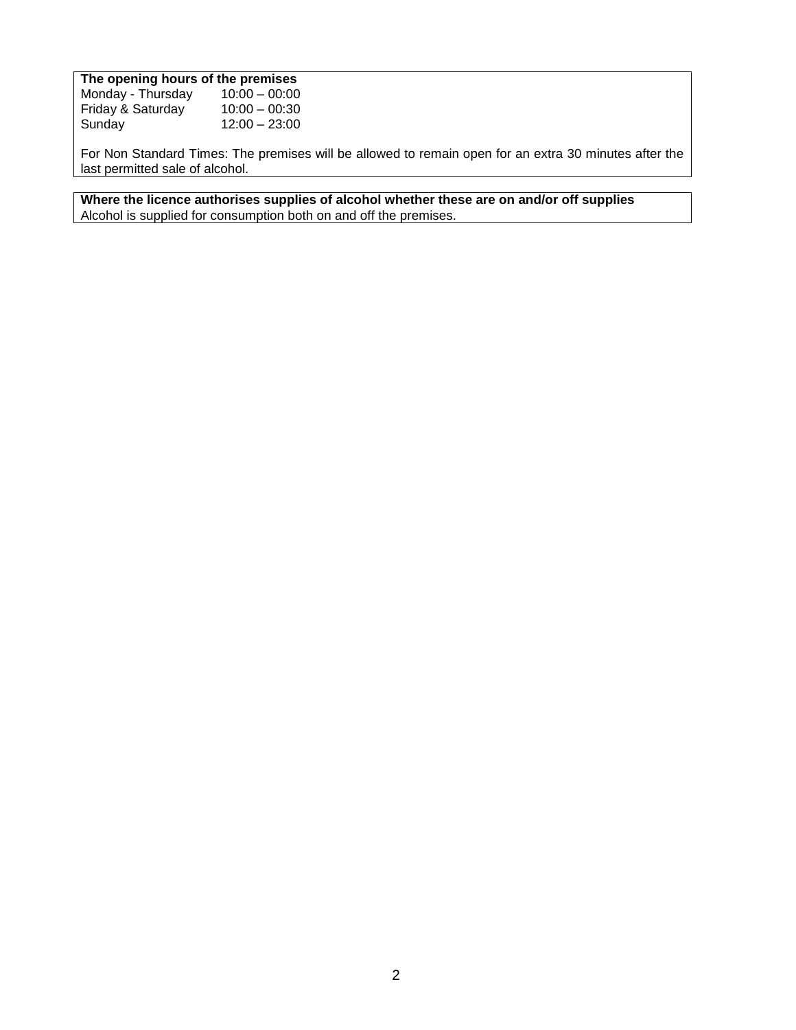# **The opening hours of the premises**

| Monday - Thursday | $10:00 - 00:00$ |
|-------------------|-----------------|
| Friday & Saturday | $10:00 - 00:30$ |
| Sundav            | $12:00 - 23:00$ |

For Non Standard Times: The premises will be allowed to remain open for an extra 30 minutes after the last permitted sale of alcohol.

**Where the licence authorises supplies of alcohol whether these are on and/or off supplies** Alcohol is supplied for consumption both on and off the premises.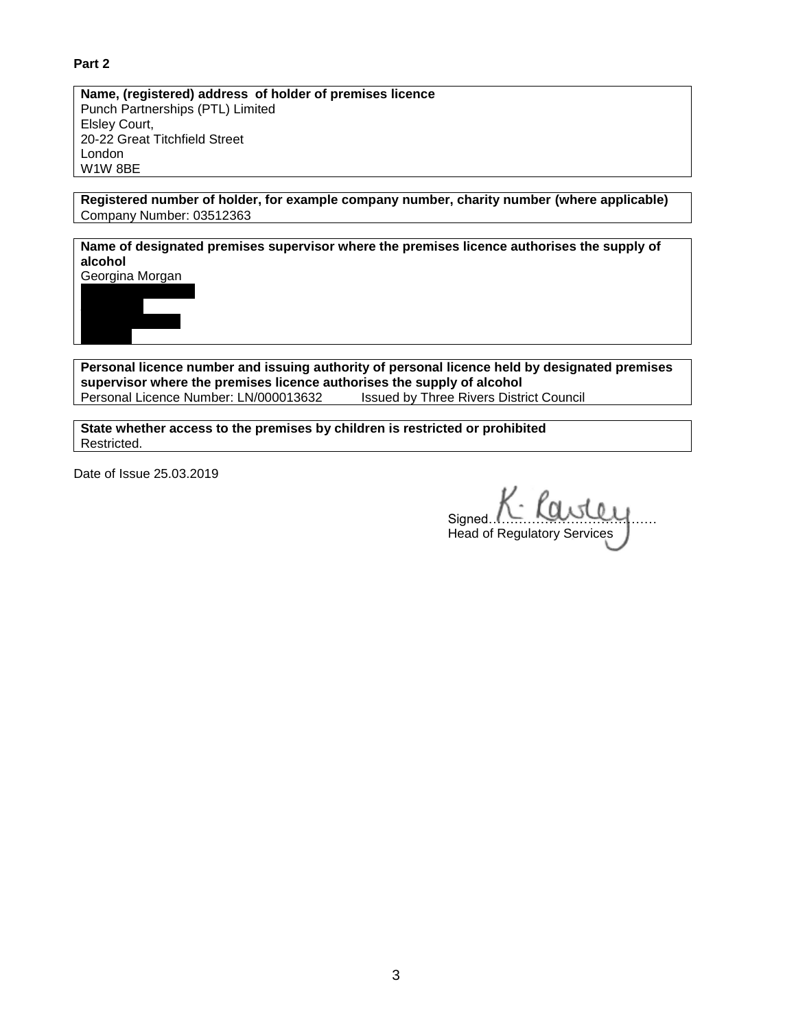# **Part 2**

**Name, (registered) address of holder of premises licence** Punch Partnerships (PTL) Limited Elsley Court, 20-22 Great Titchfield Street London W1W 8BE

**Registered number of holder, for example company number, charity number (where applicable)** Company Number: 03512363

**Name of designated premises supervisor where the premises licence authorises the supply of alcohol**

Georgina Morgan



**Personal licence number and issuing authority of personal licence held by designated premises supervisor where the premises licence authorises the supply of alcohol** Personal Licence Number: LN/000013632 Issued by Three Rivers District Council

**State whether access to the premises by children is restricted or prohibited** Restricted.

Date of Issue 25.03.2019

Signed... Head of Regulatory Services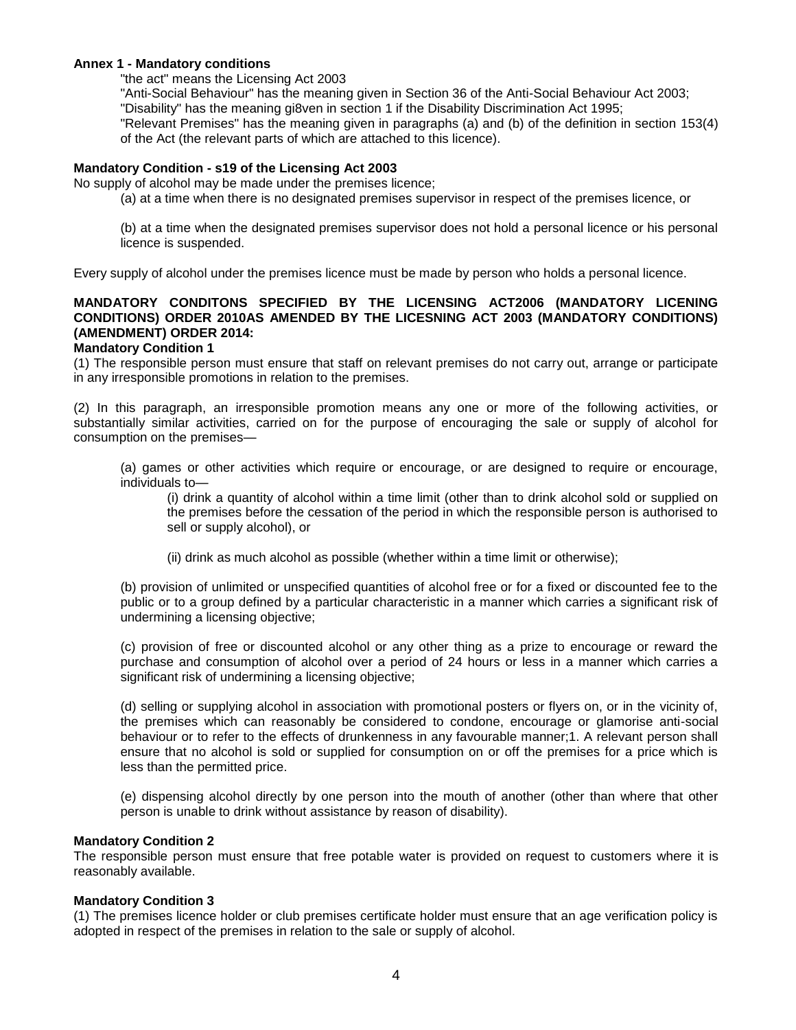#### **Annex 1 - Mandatory conditions**

"the act" means the Licensing Act 2003

"Anti-Social Behaviour" has the meaning given in Section 36 of the Anti-Social Behaviour Act 2003; "Disability" has the meaning gi8ven in section 1 if the Disability Discrimination Act 1995; "Relevant Premises" has the meaning given in paragraphs (a) and (b) of the definition in section 153(4)

of the Act (the relevant parts of which are attached to this licence).

#### **Mandatory Condition - s19 of the Licensing Act 2003**

No supply of alcohol may be made under the premises licence;

(a) at a time when there is no designated premises supervisor in respect of the premises licence, or

(b) at a time when the designated premises supervisor does not hold a personal licence or his personal licence is suspended.

Every supply of alcohol under the premises licence must be made by person who holds a personal licence.

## **MANDATORY CONDITONS SPECIFIED BY THE LICENSING ACT2006 (MANDATORY LICENING CONDITIONS) ORDER 2010AS AMENDED BY THE LICESNING ACT 2003 (MANDATORY CONDITIONS) (AMENDMENT) ORDER 2014:**

#### **Mandatory Condition 1**

(1) The responsible person must ensure that staff on relevant premises do not carry out, arrange or participate in any irresponsible promotions in relation to the premises.

(2) In this paragraph, an irresponsible promotion means any one or more of the following activities, or substantially similar activities, carried on for the purpose of encouraging the sale or supply of alcohol for consumption on the premises—

(a) games or other activities which require or encourage, or are designed to require or encourage, individuals to—

(i) drink a quantity of alcohol within a time limit (other than to drink alcohol sold or supplied on the premises before the cessation of the period in which the responsible person is authorised to sell or supply alcohol), or

(ii) drink as much alcohol as possible (whether within a time limit or otherwise);

(b) provision of unlimited or unspecified quantities of alcohol free or for a fixed or discounted fee to the public or to a group defined by a particular characteristic in a manner which carries a significant risk of undermining a licensing objective;

(c) provision of free or discounted alcohol or any other thing as a prize to encourage or reward the purchase and consumption of alcohol over a period of 24 hours or less in a manner which carries a significant risk of undermining a licensing objective;

(d) selling or supplying alcohol in association with promotional posters or flyers on, or in the vicinity of, the premises which can reasonably be considered to condone, encourage or glamorise anti-social behaviour or to refer to the effects of drunkenness in any favourable manner;1. A relevant person shall ensure that no alcohol is sold or supplied for consumption on or off the premises for a price which is less than the permitted price.

(e) dispensing alcohol directly by one person into the mouth of another (other than where that other person is unable to drink without assistance by reason of disability).

### **Mandatory Condition 2**

The responsible person must ensure that free potable water is provided on request to customers where it is reasonably available.

### **Mandatory Condition 3**

(1) The premises licence holder or club premises certificate holder must ensure that an age verification policy is adopted in respect of the premises in relation to the sale or supply of alcohol.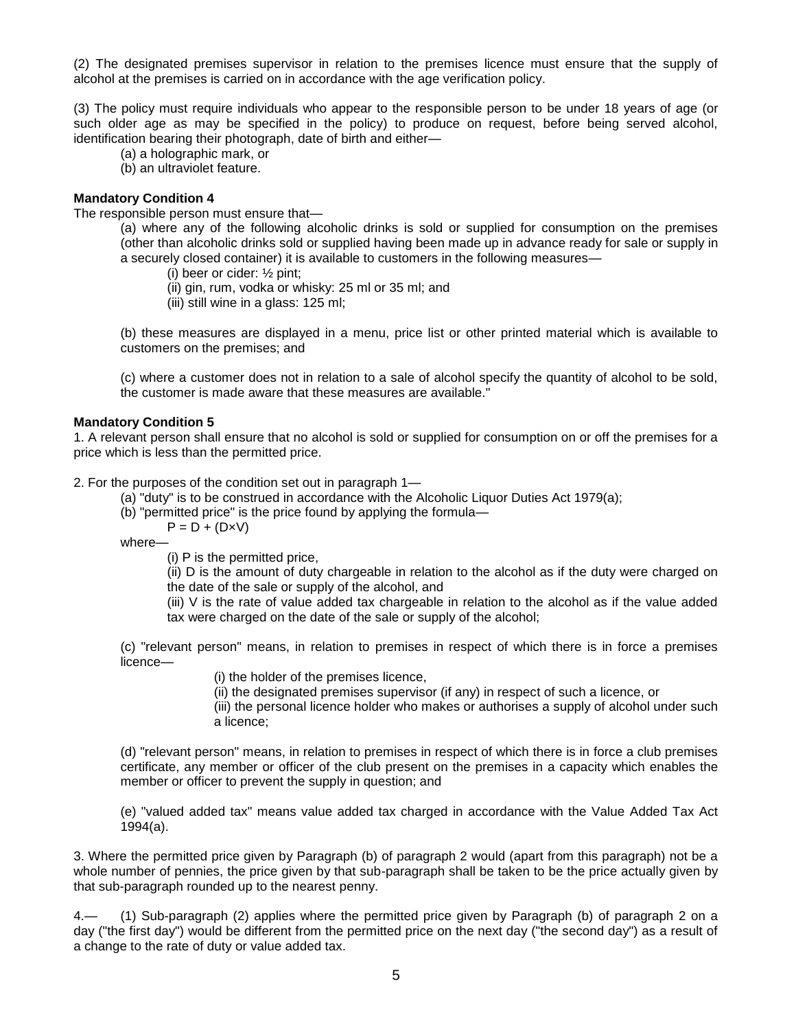(2) The designated premises supervisor in relation to the premises licence must ensure that the supply of alcohol at the premises is carried on in accordance with the age verification policy.

(3) The policy must require individuals who appear to the responsible person to be under 18 years of age (or such older age as may be specified in the policy) to produce on request, before being served alcohol, identification bearing their photograph, date of birth and either—

- (a) a holographic mark, or
- (b) an ultraviolet feature.

### **Mandatory Condition 4**

The responsible person must ensure that—

(a) where any of the following alcoholic drinks is sold or supplied for consumption on the premises (other than alcoholic drinks sold or supplied having been made up in advance ready for sale or supply in a securely closed container) it is available to customers in the following measures—

(i) beer or cider: ½ pint;

(ii) gin, rum, vodka or whisky: 25 ml or 35 ml; and

(iii) still wine in a glass: 125 ml;

(b) these measures are displayed in a menu, price list or other printed material which is available to customers on the premises; and

(c) where a customer does not in relation to a sale of alcohol specify the quantity of alcohol to be sold, the customer is made aware that these measures are available."

### **Mandatory Condition 5**

1. A relevant person shall ensure that no alcohol is sold or supplied for consumption on or off the premises for a price which is less than the permitted price.

2. For the purposes of the condition set out in paragraph 1—

- (a) "duty" is to be construed in accordance with the Alcoholic Liquor Duties Act 1979(a);
- (b) "permitted price" is the price found by applying the formula—
	- $P = D + (D \times V)$

where—

(i) P is the permitted price,

(ii) D is the amount of duty chargeable in relation to the alcohol as if the duty were charged on the date of the sale or supply of the alcohol, and

(iii) V is the rate of value added tax chargeable in relation to the alcohol as if the value added tax were charged on the date of the sale or supply of the alcohol;

(c) "relevant person" means, in relation to premises in respect of which there is in force a premises licence—

(i) the holder of the premises licence,

(ii) the designated premises supervisor (if any) in respect of such a licence, or

(iii) the personal licence holder who makes or authorises a supply of alcohol under such a licence;

(d) "relevant person" means, in relation to premises in respect of which there is in force a club premises certificate, any member or officer of the club present on the premises in a capacity which enables the member or officer to prevent the supply in question; and

(e) "valued added tax" means value added tax charged in accordance with the Value Added Tax Act 1994(a).

3. Where the permitted price given by Paragraph (b) of paragraph 2 would (apart from this paragraph) not be a whole number of pennies, the price given by that sub-paragraph shall be taken to be the price actually given by that sub-paragraph rounded up to the nearest penny.

4.— (1) Sub-paragraph (2) applies where the permitted price given by Paragraph (b) of paragraph 2 on a day ("the first day") would be different from the permitted price on the next day ("the second day") as a result of a change to the rate of duty or value added tax.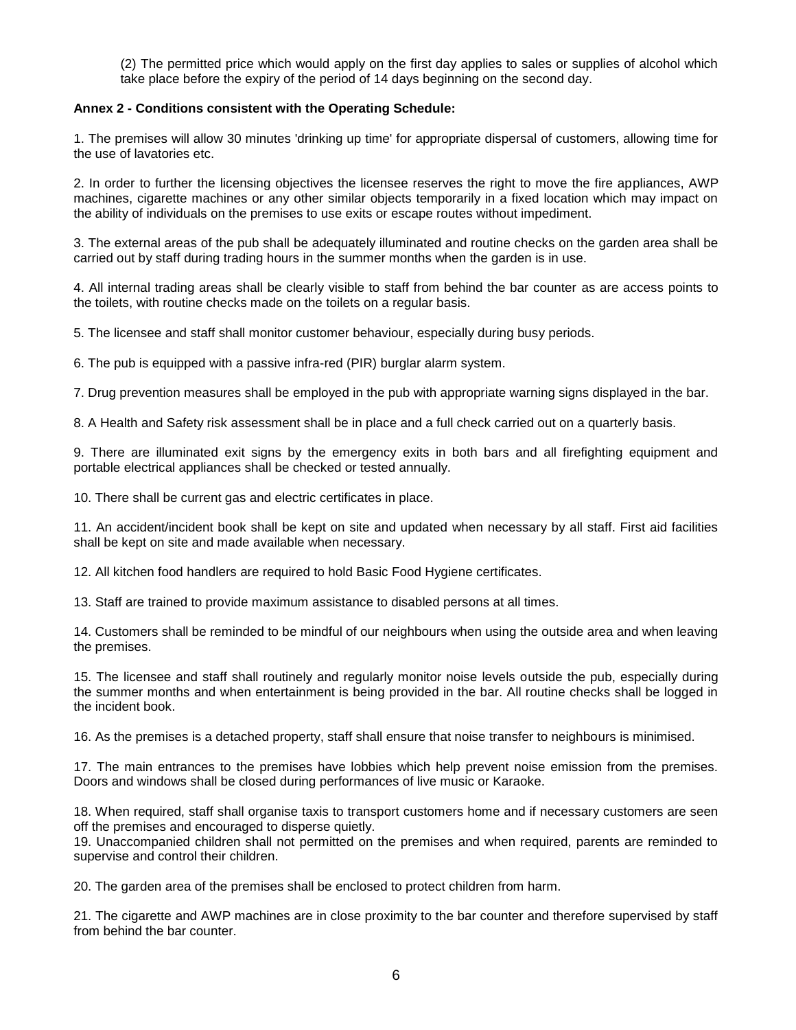(2) The permitted price which would apply on the first day applies to sales or supplies of alcohol which take place before the expiry of the period of 14 days beginning on the second day.

### **Annex 2 - Conditions consistent with the Operating Schedule:**

1. The premises will allow 30 minutes 'drinking up time' for appropriate dispersal of customers, allowing time for the use of lavatories etc.

2. In order to further the licensing objectives the licensee reserves the right to move the fire appliances, AWP machines, cigarette machines or any other similar objects temporarily in a fixed location which may impact on the ability of individuals on the premises to use exits or escape routes without impediment.

3. The external areas of the pub shall be adequately illuminated and routine checks on the garden area shall be carried out by staff during trading hours in the summer months when the garden is in use.

4. All internal trading areas shall be clearly visible to staff from behind the bar counter as are access points to the toilets, with routine checks made on the toilets on a regular basis.

5. The licensee and staff shall monitor customer behaviour, especially during busy periods.

6. The pub is equipped with a passive infra-red (PIR) burglar alarm system.

7. Drug prevention measures shall be employed in the pub with appropriate warning signs displayed in the bar.

8. A Health and Safety risk assessment shall be in place and a full check carried out on a quarterly basis.

9. There are illuminated exit signs by the emergency exits in both bars and all firefighting equipment and portable electrical appliances shall be checked or tested annually.

10. There shall be current gas and electric certificates in place.

11. An accident/incident book shall be kept on site and updated when necessary by all staff. First aid facilities shall be kept on site and made available when necessary.

12. All kitchen food handlers are required to hold Basic Food Hygiene certificates.

13. Staff are trained to provide maximum assistance to disabled persons at all times.

14. Customers shall be reminded to be mindful of our neighbours when using the outside area and when leaving the premises.

15. The licensee and staff shall routinely and regularly monitor noise levels outside the pub, especially during the summer months and when entertainment is being provided in the bar. All routine checks shall be logged in the incident book.

16. As the premises is a detached property, staff shall ensure that noise transfer to neighbours is minimised.

17. The main entrances to the premises have lobbies which help prevent noise emission from the premises. Doors and windows shall be closed during performances of live music or Karaoke.

18. When required, staff shall organise taxis to transport customers home and if necessary customers are seen off the premises and encouraged to disperse quietly.

19. Unaccompanied children shall not permitted on the premises and when required, parents are reminded to supervise and control their children.

20. The garden area of the premises shall be enclosed to protect children from harm.

21. The cigarette and AWP machines are in close proximity to the bar counter and therefore supervised by staff from behind the bar counter.